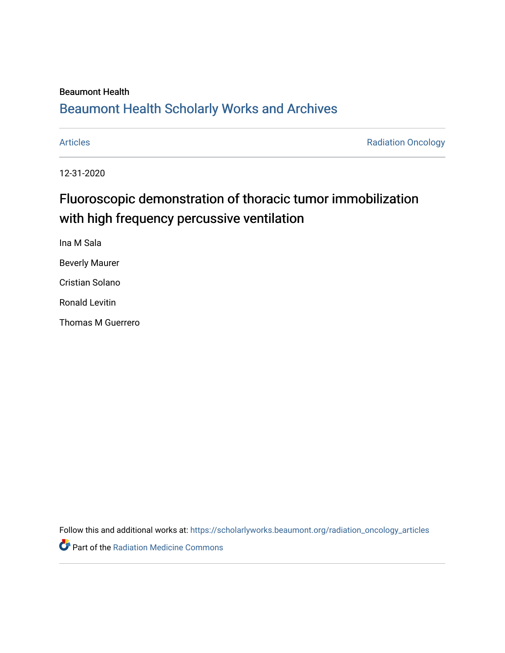#### Beaumont Health

## [Beaumont Health Scholarly Works and Archives](https://scholarlyworks.beaumont.org/)

[Articles](https://scholarlyworks.beaumont.org/radiation_oncology_articles) **Articles Radiation Oncology** 

12-31-2020

# Fluoroscopic demonstration of thoracic tumor immobilization with high frequency percussive ventilation

Ina M Sala Beverly Maurer Cristian Solano Ronald Levitin Thomas M Guerrero

Follow this and additional works at: [https://scholarlyworks.beaumont.org/radiation\\_oncology\\_articles](https://scholarlyworks.beaumont.org/radiation_oncology_articles?utm_source=scholarlyworks.beaumont.org%2Fradiation_oncology_articles%2F200&utm_medium=PDF&utm_campaign=PDFCoverPages) 

Part of the [Radiation Medicine Commons](http://network.bepress.com/hgg/discipline/1416?utm_source=scholarlyworks.beaumont.org%2Fradiation_oncology_articles%2F200&utm_medium=PDF&utm_campaign=PDFCoverPages)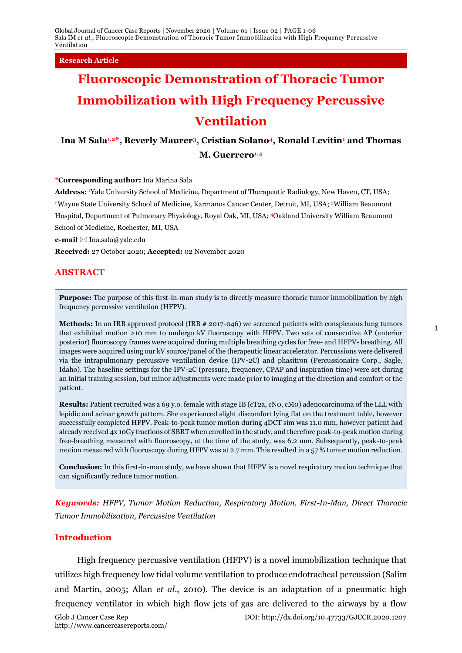**Research Article**

# **Fluoroscopic Demonstration of Thoracic Tumor Immobilization with High Frequency Percussive Ventilation**

### **Ina M Sala1,2\*, Beverly Maurer3, Cristian Solano4, Ronald Levitin<sup>1</sup> and Thomas M. Guerrero1,4**

**\*Corresponding author:** Ina Marina Sala

**Address:** <sup>1</sup>Yale University School of Medicine, Department of Therapeutic Radiology, New Haven, CT, USA; <sup>2</sup>Wayne State University School of Medicine, Karmanos Cancer Center, Detroit, MI, USA; <sup>3</sup>William Beaumont Hospital, Department of Pulmonary Physiology, Royal Oak, MI, USA; <sup>4</sup>Oakland University William Beaumont School of Medicine, Rochester, MI, USA

**e-mail** Ina.sala@yale.edu

**Received:** 27 October 2020; **Accepted:** 02 November 2020

#### **ABSTRACT**

**Purpose:** The purpose of this first-in-man study is to directly measure thoracic tumor immobilization by high frequency percussive ventilation (HFPV).

**Methods:** In an IRB approved protocol (IRB # 2017-046) we screened patients with conspicuous lung tumors that exhibited motion >10 mm to undergo kV fluoroscopy with HFPV. Two sets of consecutive AP (anterior posterior) fluoroscopy frames were acquired during multiple breathing cycles for free- and HFPV- breathing. All images were acquired using our kV source/panel of the therapeutic linear accelerator. Percussions were delivered via the intrapulmonary percussive ventilation device (IPV-2C) and phasitron (Percussionaire Corp., Sagle, Idaho). The baseline settings for the IPV-2C (pressure, frequency, CPAP and inspiration time) were set during an initial training session, but minor adjustments were made prior to imaging at the direction and comfort of the patient.

**Results:** Patient recruited was a 69 y.o. female with stage IB (cT2a, cN0, cM0) adenocarcinoma of the LLL with lepidic and acinar growth pattern. She experienced slight discomfort lying flat on the treatment table, however successfully completed HFPV. Peak-to-peak tumor motion during 4DCT sim was 11.0 mm, however patient had already received 4x 10Gy fractions of SBRT when enrolled in the study, and therefore peak-to-peak motion during free-breathing measured with fluoroscopy, at the time of the study, was 6.2 mm. Subsequently, peak-to-peak motion measured with fluoroscopy during HFPV was at 2.7 mm. This resulted in a 57 % tumor motion reduction.

**Conclusion:** In this first-in-man study, we have shown that HFPV is a novel respiratory motion technique that can significantly reduce tumor motion.

*Keywords: HFPV, Tumor Motion Reduction, Respiratory Motion, First-In-Man, Direct Thoracic Tumor Immobilization, Percussive Ventilation*

#### **Introduction**

High frequency percussive ventilation (HFPV) is a novel immobilization technique that utilizes high frequency low tidal volume ventilation to produce endotracheal percussion (Salim and Martin, 2005; Allan *et al*., 2010). The device is an adaptation of a pneumatic high frequency ventilator in which high flow jets of gas are delivered to the airways by a flow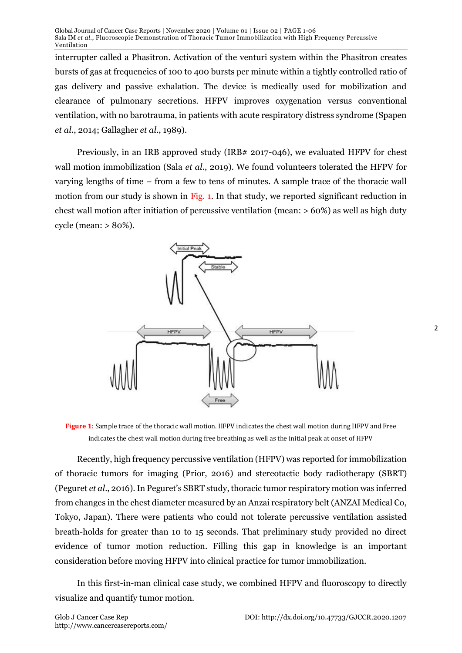Global Journal of Cancer Case Reports | November 2020 | Volume 01 | Issue 02 | PAGE 1-06 Sala IM *et al*., Fluoroscopic Demonstration of Thoracic Tumor Immobilization with High Frequency Percussive Ventilation

interrupter called a Phasitron. Activation of the venturi system within the Phasitron creates bursts of gas at frequencies of 100 to 400 bursts per minute within a tightly controlled ratio of gas delivery and passive exhalation. The device is medically used for mobilization and clearance of pulmonary secretions. HFPV improves oxygenation versus conventional ventilation, with no barotrauma, in patients with acute respiratory distress syndrome (Spapen *et al*., 2014; Gallagher *et al*., 1989).

Previously, in an IRB approved study (IRB# 2017-046), we evaluated HFPV for chest wall motion immobilization (Sala *et al*., 2019). We found volunteers tolerated the HFPV for varying lengths of time – from a few to tens of minutes. A sample trace of the thoracic wall motion from our study is shown in Fig. 1. In that study, we reported significant reduction in chest wall motion after initiation of percussive ventilation (mean: > 60%) as well as high duty cycle (mean: > 80%).



**Figure 1:** Sample trace of the thoracic wall motion. HFPV indicates the chest wall motion during HFPV and Free indicates the chest wall motion during free breathing as well as the initial peak at onset of HFPV

Recently, high frequency percussive ventilation (HFPV) was reported for immobilization of thoracic tumors for imaging (Prior, 2016) and stereotactic body radiotherapy (SBRT) (Peguret *et al*., 2016). In Peguret's SBRT study, thoracic tumor respiratory motion was inferred from changes in the chest diameter measured by an Anzai respiratory belt (ANZAI Medical Co, Tokyo, Japan). There were patients who could not tolerate percussive ventilation assisted breath-holds for greater than 10 to 15 seconds. That preliminary study provided no direct evidence of tumor motion reduction. Filling this gap in knowledge is an important consideration before moving HFPV into clinical practice for tumor immobilization.

In this first-in-man clinical case study, we combined HFPV and fluoroscopy to directly visualize and quantify tumor motion.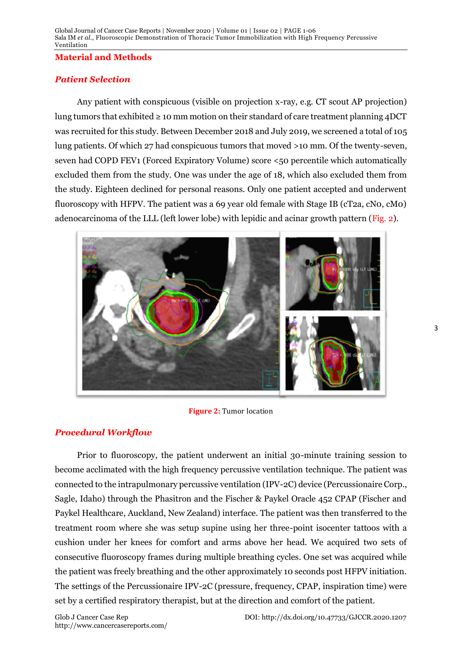#### **Material and Methods**

#### *Patient Selection*

Any patient with conspicuous (visible on projection x-ray, e.g. CT scout AP projection) lung tumors that exhibited  $\geq 10$  mm motion on their standard of care treatment planning 4DCT was recruited for this study. Between December 2018 and July 2019, we screened a total of 105 lung patients. Of which 27 had conspicuous tumors that moved >10 mm. Of the twenty-seven, seven had COPD FEV1 (Forced Expiratory Volume) score <50 percentile which automatically excluded them from the study. One was under the age of 18, which also excluded them from the study. Eighteen declined for personal reasons. Only one patient accepted and underwent fluoroscopy with HFPV. The patient was a 69 year old female with Stage IB (cT2a, cNo, cMo) adenocarcinoma of the LLL (left lower lobe) with lepidic and acinar growth pattern (Fig. 2).



**Figure 2:** Tumor location

#### *Procedural Workflow*

Prior to fluoroscopy, the patient underwent an initial 30-minute training session to become acclimated with the high frequency percussive ventilation technique. The patient was connected to the intrapulmonary percussive ventilation (IPV-2C) device (Percussionaire Corp., Sagle, Idaho) through the Phasitron and the Fischer & Paykel Oracle 452 CPAP (Fischer and Paykel Healthcare, Auckland, New Zealand) interface. The patient was then transferred to the treatment room where she was setup supine using her three-point isocenter tattoos with a cushion under her knees for comfort and arms above her head. We acquired two sets of consecutive fluoroscopy frames during multiple breathing cycles. One set was acquired while the patient was freely breathing and the other approximately 10 seconds post HFPV initiation. The settings of the Percussionaire IPV-2C (pressure, frequency, CPAP, inspiration time) were set by a certified respiratory therapist, but at the direction and comfort of the patient.

http://www.cancercasereports.com/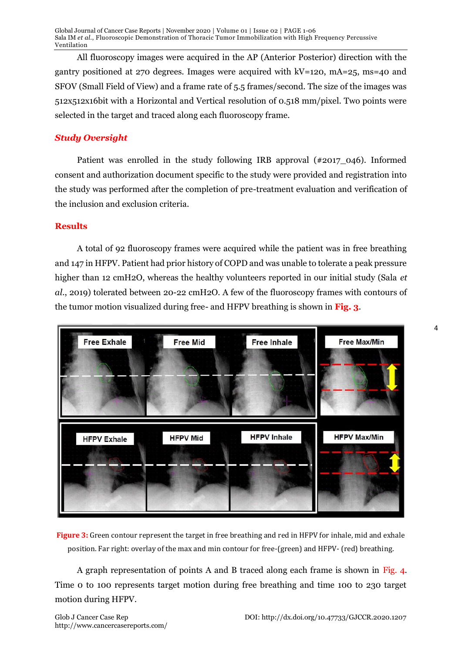Global Journal of Cancer Case Reports | November 2020 | Volume 01 | Issue 02 | PAGE 1-06 Sala IM *et al*., Fluoroscopic Demonstration of Thoracic Tumor Immobilization with High Frequency Percussive Ventilation

All fluoroscopy images were acquired in the AP (Anterior Posterior) direction with the gantry positioned at 270 degrees. Images were acquired with kV=120, mA=25, ms=40 and SFOV (Small Field of View) and a frame rate of 5.5 frames/second. The size of the images was 512x512x16bit with a Horizontal and Vertical resolution of 0.518 mm/pixel. Two points were selected in the target and traced along each fluoroscopy frame.

#### *Study Oversight*

Patient was enrolled in the study following IRB approval (#2017 046). Informed consent and authorization document specific to the study were provided and registration into the study was performed after the completion of pre-treatment evaluation and verification of the inclusion and exclusion criteria.

#### **Results**

A total of 92 fluoroscopy frames were acquired while the patient was in free breathing and 147 in HFPV. Patient had prior history of COPD and was unable to tolerate a peak pressure higher than 12 cmH2O, whereas the healthy volunteers reported in our initial study (Sala *et al*., 2019) tolerated between 20-22 cmH2O. A few of the fluoroscopy frames with contours of the tumor motion visualized during free- and HFPV breathing is shown in **Fig. 3**.



**Figure 3:** Green contour represent the target in free breathing and red in HFPV for inhale, mid and exhale position. Far right: overlay of the max and min contour for free-(green) and HFPV- (red) breathing.

A graph representation of points A and B traced along each frame is shown in Fig. 4. Time 0 to 100 represents target motion during free breathing and time 100 to 230 target motion during HFPV.

http://www.cancercasereports.com/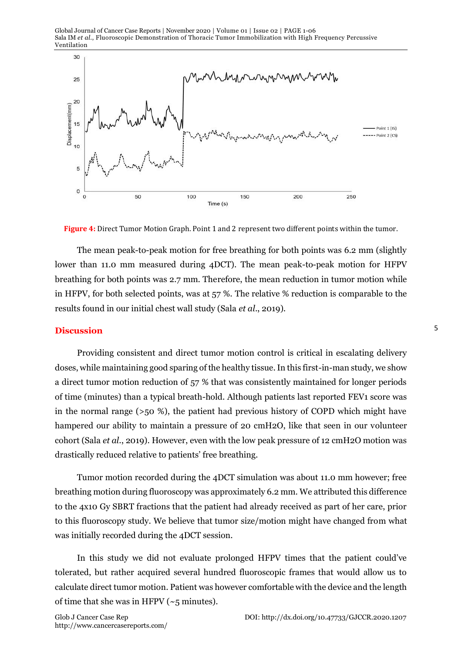Global Journal of Cancer Case Reports | November 2020 | Volume 01 | Issue 02 | PAGE 1-06 Sala IM *et al*., Fluoroscopic Demonstration of Thoracic Tumor Immobilization with High Frequency Percussive Ventilation



**Figure 4:** Direct Tumor Motion Graph. Point 1 and 2 represent two different points within the tumor.

The mean peak-to-peak motion for free breathing for both points was 6.2 mm (slightly lower than 11.0 mm measured during 4DCT). The mean peak-to-peak motion for HFPV breathing for both points was 2.7 mm. Therefore, the mean reduction in tumor motion while in HFPV, for both selected points, was at 57 %. The relative % reduction is comparable to the results found in our initial chest wall study (Sala *et al*., 2019).

#### **Discussion**

Providing consistent and direct tumor motion control is critical in escalating delivery doses, while maintaining good sparing of the healthy tissue. In this first-in-man study, we show a direct tumor motion reduction of 57 % that was consistently maintained for longer periods of time (minutes) than a typical breath-hold. Although patients last reported FEV1 score was in the normal range (>50 %), the patient had previous history of COPD which might have hampered our ability to maintain a pressure of 20 cmH2O, like that seen in our volunteer cohort (Sala *et al*., 2019). However, even with the low peak pressure of 12 cmH2O motion was drastically reduced relative to patients' free breathing.

Tumor motion recorded during the 4DCT simulation was about 11.0 mm however; free breathing motion during fluoroscopy was approximately 6.2 mm. We attributed this difference to the 4x10 Gy SBRT fractions that the patient had already received as part of her care, prior to this fluoroscopy study. We believe that tumor size/motion might have changed from what was initially recorded during the 4DCT session.

In this study we did not evaluate prolonged HFPV times that the patient could've tolerated, but rather acquired several hundred fluoroscopic frames that would allow us to calculate direct tumor motion. Patient was however comfortable with the device and the length of time that she was in HFPV ( $\sim$ 5 minutes).